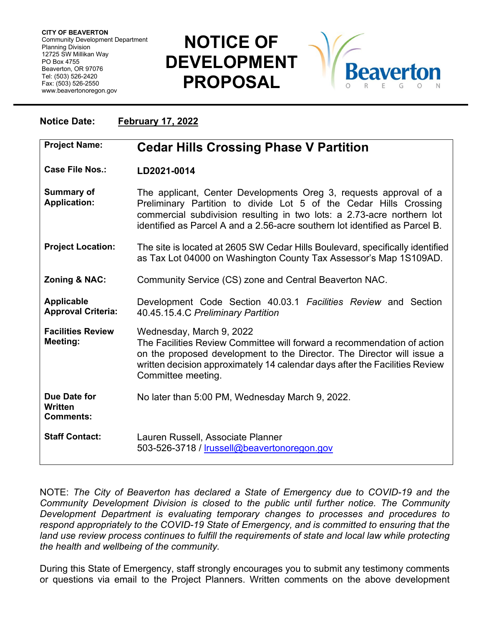## **NOTICE OF DEVELOPMENT PROPOSAL**



| <b>Notice Date:</b>                                | <b>February 17, 2022</b>                                                                                                                                                                                                                                                                        |
|----------------------------------------------------|-------------------------------------------------------------------------------------------------------------------------------------------------------------------------------------------------------------------------------------------------------------------------------------------------|
| <b>Project Name:</b>                               | <b>Cedar Hills Crossing Phase V Partition</b>                                                                                                                                                                                                                                                   |
| Case File Nos.:                                    | LD2021-0014                                                                                                                                                                                                                                                                                     |
| <b>Summary of</b><br><b>Application:</b>           | The applicant, Center Developments Oreg 3, requests approval of a<br>Preliminary Partition to divide Lot 5 of the Cedar Hills Crossing<br>commercial subdivision resulting in two lots: a 2.73-acre northern lot<br>identified as Parcel A and a 2.56-acre southern lot identified as Parcel B. |
| <b>Project Location:</b>                           | The site is located at 2605 SW Cedar Hills Boulevard, specifically identified<br>as Tax Lot 04000 on Washington County Tax Assessor's Map 1S109AD.                                                                                                                                              |
| Zoning & NAC:                                      | Community Service (CS) zone and Central Beaverton NAC.                                                                                                                                                                                                                                          |
| <b>Applicable</b><br><b>Approval Criteria:</b>     | Development Code Section 40.03.1 Facilities Review and Section<br>40.45.15.4.C Preliminary Partition                                                                                                                                                                                            |
| <b>Facilities Review</b><br>Meeting:               | Wednesday, March 9, 2022<br>The Facilities Review Committee will forward a recommendation of action<br>on the proposed development to the Director. The Director will issue a<br>written decision approximately 14 calendar days after the Facilities Review<br>Committee meeting.              |
| Due Date for<br><b>Written</b><br><b>Comments:</b> | No later than 5:00 PM, Wednesday March 9, 2022.                                                                                                                                                                                                                                                 |
| <b>Staff Contact:</b>                              | Lauren Russell, Associate Planner<br>503-526-3718 / Irussell@beavertonoregon.gov                                                                                                                                                                                                                |

NOTE: *The City of Beaverton has declared a State of Emergency due to COVID-19 and the Community Development Division is closed to the public until further notice. The Community Development Department is evaluating temporary changes to processes and procedures to respond appropriately to the COVID-19 State of Emergency, and is committed to ensuring that the*  land use review process continues to fulfill the requirements of state and local law while protecting *the health and wellbeing of the community.*

During this State of Emergency, staff strongly encourages you to submit any testimony comments or questions via email to the Project Planners. Written comments on the above development